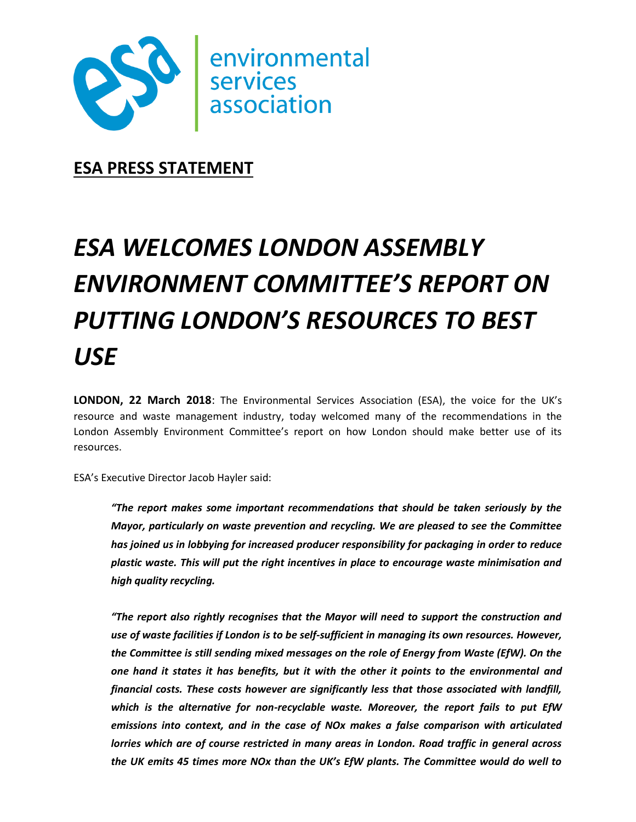

**ESA PRESS STATEMENT**

# *ESA WELCOMES LONDON ASSEMBLY ENVIRONMENT COMMITTEE'S REPORT ON PUTTING LONDON'S RESOURCES TO BEST USE*

**LONDON, 22 March 2018**: The Environmental Services Association (ESA), the voice for the UK's resource and waste management industry, today welcomed many of the recommendations in the London Assembly Environment Committee's report on how London should make better use of its resources.

ESA's Executive Director Jacob Hayler said:

*"The report makes some important recommendations that should be taken seriously by the Mayor, particularly on waste prevention and recycling. We are pleased to see the Committee has joined us in lobbying for increased producer responsibility for packaging in order to reduce plastic waste. This will put the right incentives in place to encourage waste minimisation and high quality recycling.*

*"The report also rightly recognises that the Mayor will need to support the construction and use of waste facilities if London is to be self-sufficient in managing its own resources. However, the Committee is still sending mixed messages on the role of Energy from Waste (EfW). On the one hand it states it has benefits, but it with the other it points to the environmental and financial costs. These costs however are significantly less that those associated with landfill, which is the alternative for non-recyclable waste. Moreover, the report fails to put EfW emissions into context, and in the case of NOx makes a false comparison with articulated lorries which are of course restricted in many areas in London. Road traffic in general across the UK emits 45 times more NOx than the UK's EfW plants. The Committee would do well to*